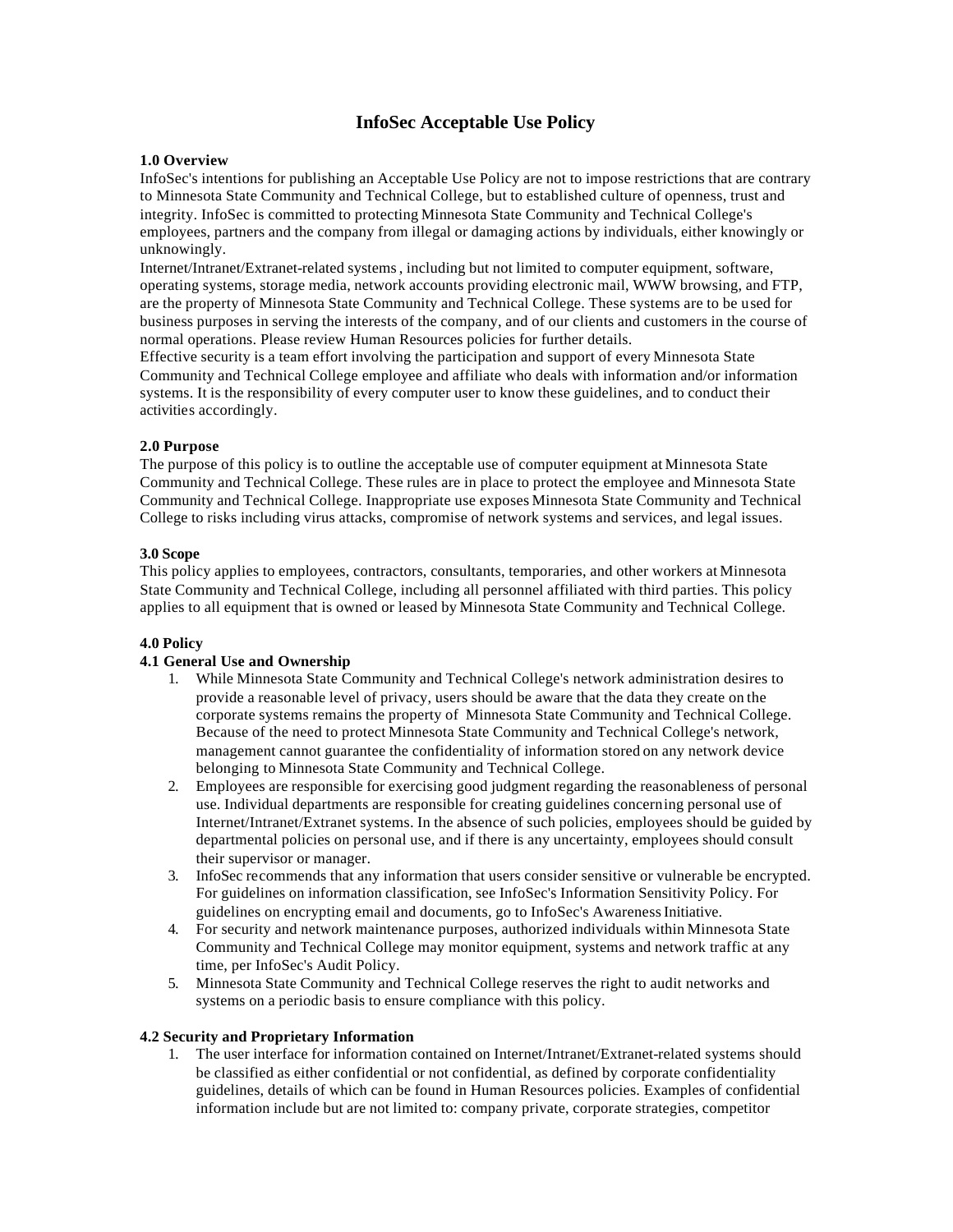# **InfoSec Acceptable Use Policy**

### **1.0 Overview**

InfoSec's intentions for publishing an Acceptable Use Policy are not to impose restrictions that are contrary to Minnesota State Community and Technical College, but to established culture of openness, trust and integrity. InfoSec is committed to protecting Minnesota State Community and Technical College's employees, partners and the company from illegal or damaging actions by individuals, either knowingly or unknowingly.

Internet/Intranet/Extranet-related systems, including but not limited to computer equipment, software, operating systems, storage media, network accounts providing electronic mail, WWW browsing, and FTP, are the property of Minnesota State Community and Technical College. These systems are to be used for business purposes in serving the interests of the company, and of our clients and customers in the course of normal operations. Please review Human Resources policies for further details.

Effective security is a team effort involving the participation and support of every Minnesota State Community and Technical College employee and affiliate who deals with information and/or information systems. It is the responsibility of every computer user to know these guidelines, and to conduct their activities accordingly.

## **2.0 Purpose**

The purpose of this policy is to outline the acceptable use of computer equipment at Minnesota State Community and Technical College. These rules are in place to protect the employee and Minnesota State Community and Technical College. Inappropriate use exposes Minnesota State Community and Technical College to risks including virus attacks, compromise of network systems and services, and legal issues.

## **3.0 Scope**

This policy applies to employees, contractors, consultants, temporaries, and other workers at Minnesota State Community and Technical College, including all personnel affiliated with third parties. This policy applies to all equipment that is owned or leased by Minnesota State Community and Technical College.

# **4.0 Policy**

# **4.1 General Use and Ownership**

- 1. While Minnesota State Community and Technical College's network administration desires to provide a reasonable level of privacy, users should be aware that the data they create on the corporate systems remains the property of Minnesota State Community and Technical College. Because of the need to protect Minnesota State Community and Technical College's network, management cannot guarantee the confidentiality of information stored on any network device belonging to Minnesota State Community and Technical College.
- 2. Employees are responsible for exercising good judgment regarding the reasonableness of personal use. Individual departments are responsible for creating guidelines concerning personal use of Internet/Intranet/Extranet systems. In the absence of such policies, employees should be guided by departmental policies on personal use, and if there is any uncertainty, employees should consult their supervisor or manager.
- 3. InfoSec recommends that any information that users consider sensitive or vulnerable be encrypted. For guidelines on information classification, see InfoSec's Information Sensitivity Policy. For guidelines on encrypting email and documents, go to InfoSec's Awareness Initiative.
- 4. For security and network maintenance purposes, authorized individuals within Minnesota State Community and Technical College may monitor equipment, systems and network traffic at any time, per InfoSec's Audit Policy.
- 5. Minnesota State Community and Technical College reserves the right to audit networks and systems on a periodic basis to ensure compliance with this policy.

### **4.2 Security and Proprietary Information**

1. The user interface for information contained on Internet/Intranet/Extranet-related systems should be classified as either confidential or not confidential, as defined by corporate confidentiality guidelines, details of which can be found in Human Resources policies. Examples of confidential information include but are not limited to: company private, corporate strategies, competitor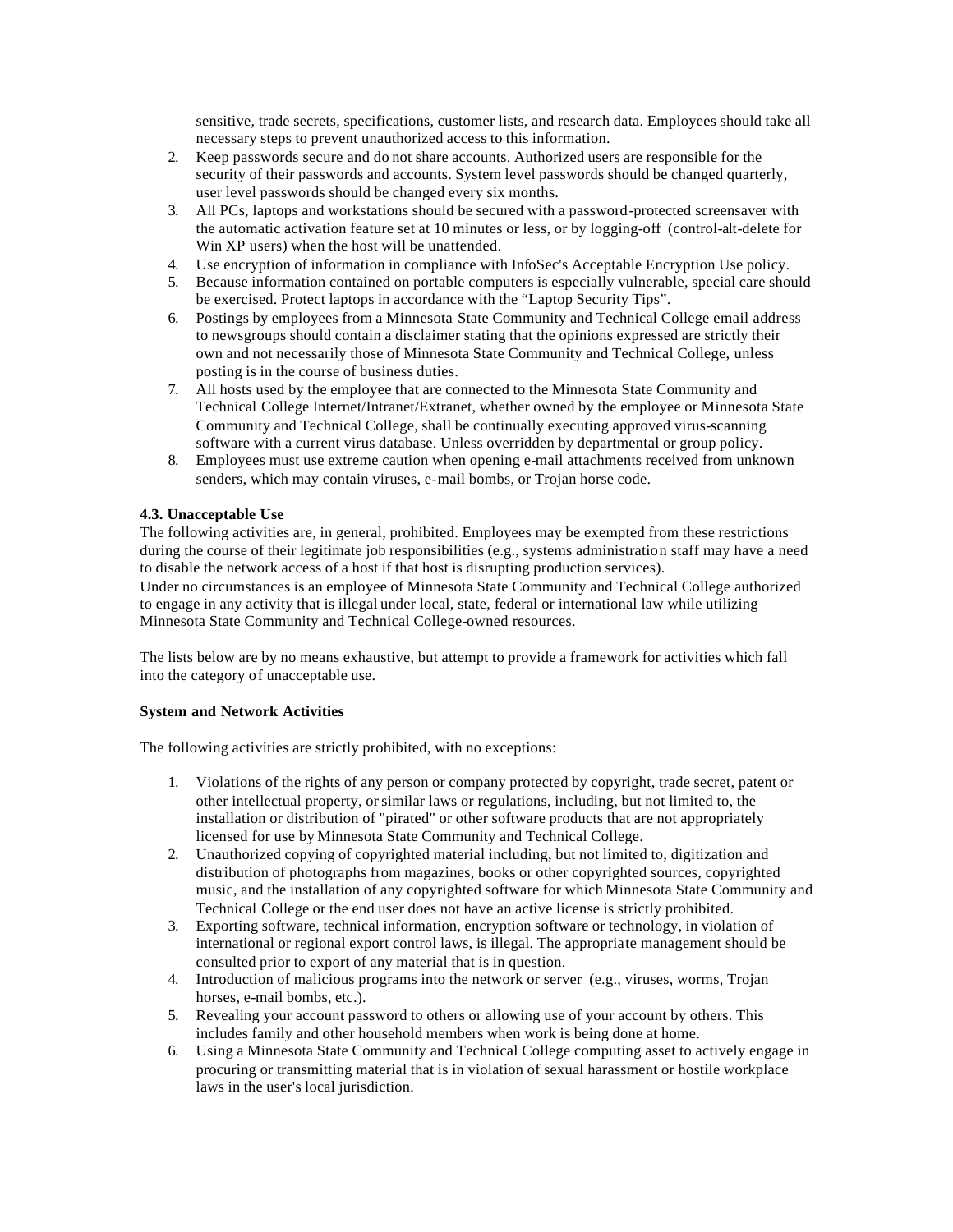sensitive, trade secrets, specifications, customer lists, and research data. Employees should take all necessary steps to prevent unauthorized access to this information.

- 2. Keep passwords secure and do not share accounts. Authorized users are responsible for the security of their passwords and accounts. System level passwords should be changed quarterly, user level passwords should be changed every six months.
- 3. All PCs, laptops and workstations should be secured with a password-protected screensaver with the automatic activation feature set at 10 minutes or less, or by logging-off (control-alt-delete for Win XP users) when the host will be unattended.
- 4. Use encryption of information in compliance with InfoSec's Acceptable Encryption Use policy.
- 5. Because information contained on portable computers is especially vulnerable, special care should be exercised. Protect laptops in accordance with the "Laptop Security Tips".
- 6. Postings by employees from a Minnesota State Community and Technical College email address to newsgroups should contain a disclaimer stating that the opinions expressed are strictly their own and not necessarily those of Minnesota State Community and Technical College, unless posting is in the course of business duties.
- 7. All hosts used by the employee that are connected to the Minnesota State Community and Technical College Internet/Intranet/Extranet, whether owned by the employee or Minnesota State Community and Technical College, shall be continually executing approved virus-scanning software with a current virus database. Unless overridden by departmental or group policy.
- 8. Employees must use extreme caution when opening e-mail attachments received from unknown senders, which may contain viruses, e-mail bombs, or Trojan horse code.

# **4.3. Unacceptable Use**

The following activities are, in general, prohibited. Employees may be exempted from these restrictions during the course of their legitimate job responsibilities (e.g., systems administration staff may have a need to disable the network access of a host if that host is disrupting production services). Under no circumstances is an employee of Minnesota State Community and Technical College authorized to engage in any activity that is illegal under local, state, federal or international law while utilizing Minnesota State Community and Technical College-owned resources.

The lists below are by no means exhaustive, but attempt to provide a framework for activities which fall into the category of unacceptable use.

### **System and Network Activities**

The following activities are strictly prohibited, with no exceptions:

- 1. Violations of the rights of any person or company protected by copyright, trade secret, patent or other intellectual property, or similar laws or regulations, including, but not limited to, the installation or distribution of "pirated" or other software products that are not appropriately licensed for use by Minnesota State Community and Technical College.
- 2. Unauthorized copying of copyrighted material including, but not limited to, digitization and distribution of photographs from magazines, books or other copyrighted sources, copyrighted music, and the installation of any copyrighted software for which Minnesota State Community and Technical College or the end user does not have an active license is strictly prohibited.
- 3. Exporting software, technical information, encryption software or technology, in violation of international or regional export control laws, is illegal. The appropriate management should be consulted prior to export of any material that is in question.
- 4. Introduction of malicious programs into the network or server (e.g., viruses, worms, Trojan horses, e-mail bombs, etc.).
- 5. Revealing your account password to others or allowing use of your account by others. This includes family and other household members when work is being done at home.
- 6. Using a Minnesota State Community and Technical College computing asset to actively engage in procuring or transmitting material that is in violation of sexual harassment or hostile workplace laws in the user's local jurisdiction.